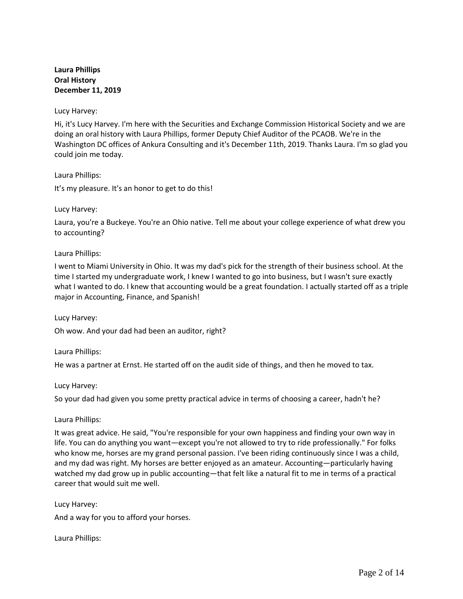# **Laura Phillips Oral History December 11, 2019**

### Lucy Harvey:

Hi, it's Lucy Harvey. I'm here with the Securities and Exchange Commission Historical Society and we are doing an oral history with Laura Phillips, former Deputy Chief Auditor of the PCAOB. We're in the Washington DC offices of Ankura Consulting and it's December 11th, 2019. Thanks Laura. I'm so glad you could join me today.

### Laura Phillips:

It's my pleasure. It's an honor to get to do this!

### Lucy Harvey:

Laura, you're a Buckeye. You're an Ohio native. Tell me about your college experience of what drew you to accounting?

### Laura Phillips:

I went to Miami University in Ohio. It was my dad's pick for the strength of their business school. At the time I started my undergraduate work, I knew I wanted to go into business, but I wasn't sure exactly what I wanted to do. I knew that accounting would be a great foundation. I actually started off as a triple major in Accounting, Finance, and Spanish!

Lucy Harvey:

Oh wow. And your dad had been an auditor, right?

Laura Phillips:

He was a partner at Ernst. He started off on the audit side of things, and then he moved to tax.

## Lucy Harvey:

So your dad had given you some pretty practical advice in terms of choosing a career, hadn't he?

Laura Phillips:

It was great advice. He said, "You're responsible for your own happiness and finding your own way in life. You can do anything you want—except you're not allowed to try to ride professionally." For folks who know me, horses are my grand personal passion. I've been riding continuously since I was a child, and my dad was right. My horses are better enjoyed as an amateur. Accounting—particularly having watched my dad grow up in public accounting—that felt like a natural fit to me in terms of a practical career that would suit me well.

Lucy Harvey: And a way for you to afford your horses.

Laura Phillips: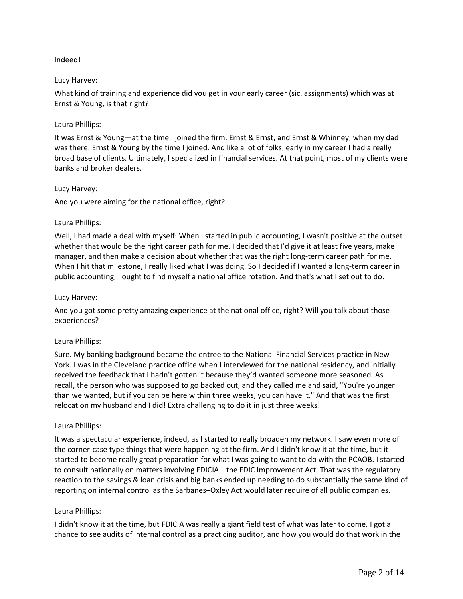## Indeed!

## Lucy Harvey:

What kind of training and experience did you get in your early career (sic. assignments) which was at Ernst & Young, is that right?

## Laura Phillips:

It was Ernst & Young—at the time I joined the firm. Ernst & Ernst, and Ernst & Whinney, when my dad was there. Ernst & Young by the time I joined. And like a lot of folks, early in my career I had a really broad base of clients. Ultimately, I specialized in financial services. At that point, most of my clients were banks and broker dealers.

## Lucy Harvey:

And you were aiming for the national office, right?

## Laura Phillips:

Well, I had made a deal with myself: When I started in public accounting, I wasn't positive at the outset whether that would be the right career path for me. I decided that I'd give it at least five years, make manager, and then make a decision about whether that was the right long-term career path for me. When I hit that milestone, I really liked what I was doing. So I decided if I wanted a long-term career in public accounting, I ought to find myself a national office rotation. And that's what I set out to do.

### Lucy Harvey:

And you got some pretty amazing experience at the national office, right? Will you talk about those experiences?

## Laura Phillips:

Sure. My banking background became the entree to the National Financial Services practice in New York. I was in the Cleveland practice office when I interviewed for the national residency, and initially received the feedback that I hadn't gotten it because they'd wanted someone more seasoned. As I recall, the person who was supposed to go backed out, and they called me and said, "You're younger than we wanted, but if you can be here within three weeks, you can have it." And that was the first relocation my husband and I did! Extra challenging to do it in just three weeks!

## Laura Phillips:

It was a spectacular experience, indeed, as I started to really broaden my network. I saw even more of the corner-case type things that were happening at the firm. And I didn't know it at the time, but it started to become really great preparation for what I was going to want to do with the PCAOB. I started to consult nationally on matters involving FDICIA—the FDIC Improvement Act. That was the regulatory reaction to the savings & loan crisis and big banks ended up needing to do substantially the same kind of reporting on internal control as the Sarbanes–Oxley Act would later require of all public companies.

## Laura Phillips:

I didn't know it at the time, but FDICIA was really a giant field test of what was later to come. I got a chance to see audits of internal control as a practicing auditor, and how you would do that work in the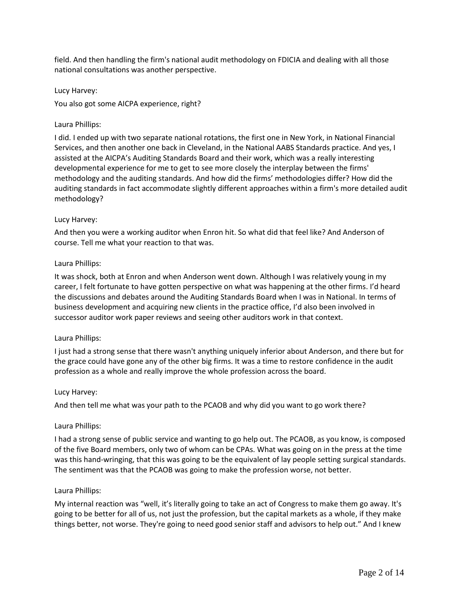field. And then handling the firm's national audit methodology on FDICIA and dealing with all those national consultations was another perspective.

Lucy Harvey:

You also got some AICPA experience, right?

## Laura Phillips:

I did. I ended up with two separate national rotations, the first one in New York, in National Financial Services, and then another one back in Cleveland, in the National AABS Standards practice. And yes, I assisted at the AICPA's Auditing Standards Board and their work, which was a really interesting developmental experience for me to get to see more closely the interplay between the firms' methodology and the auditing standards. And how did the firms' methodologies differ? How did the auditing standards in fact accommodate slightly different approaches within a firm's more detailed audit methodology?

## Lucy Harvey:

And then you were a working auditor when Enron hit. So what did that feel like? And Anderson of course. Tell me what your reaction to that was.

## Laura Phillips:

It was shock, both at Enron and when Anderson went down. Although I was relatively young in my career, I felt fortunate to have gotten perspective on what was happening at the other firms. I'd heard the discussions and debates around the Auditing Standards Board when I was in National. In terms of business development and acquiring new clients in the practice office, I'd also been involved in successor auditor work paper reviews and seeing other auditors work in that context.

## Laura Phillips:

I just had a strong sense that there wasn't anything uniquely inferior about Anderson, and there but for the grace could have gone any of the other big firms. It was a time to restore confidence in the audit profession as a whole and really improve the whole profession across the board.

### Lucy Harvey:

And then tell me what was your path to the PCAOB and why did you want to go work there?

## Laura Phillips:

I had a strong sense of public service and wanting to go help out. The PCAOB, as you know, is composed of the five Board members, only two of whom can be CPAs. What was going on in the press at the time was this hand-wringing, that this was going to be the equivalent of lay people setting surgical standards. The sentiment was that the PCAOB was going to make the profession worse, not better.

### Laura Phillips:

My internal reaction was "well, it's literally going to take an act of Congress to make them go away. It's going to be better for all of us, not just the profession, but the capital markets as a whole, if they make things better, not worse. They're going to need good senior staff and advisors to help out." And I knew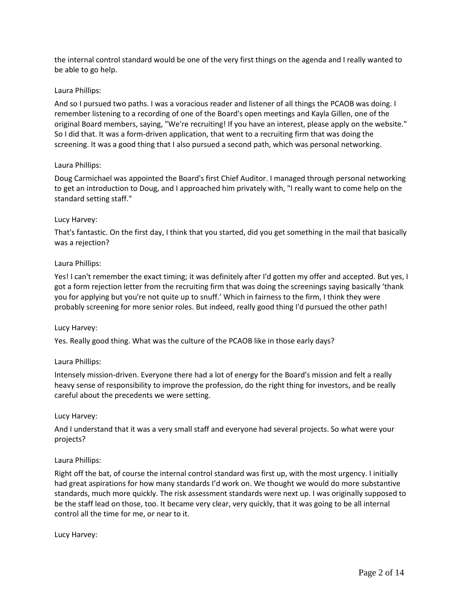the internal control standard would be one of the very first things on the agenda and I really wanted to be able to go help.

## Laura Phillips:

And so I pursued two paths. I was a voracious reader and listener of all things the PCAOB was doing. I remember listening to a recording of one of the Board's open meetings and Kayla Gillen, one of the original Board members, saying, "We're recruiting! If you have an interest, please apply on the website." So I did that. It was a form-driven application, that went to a recruiting firm that was doing the screening. It was a good thing that I also pursued a second path, which was personal networking.

### Laura Phillips:

Doug Carmichael was appointed the Board's first Chief Auditor. I managed through personal networking to get an introduction to Doug, and I approached him privately with, "I really want to come help on the standard setting staff."

### Lucy Harvey:

That's fantastic. On the first day, I think that you started, did you get something in the mail that basically was a rejection?

### Laura Phillips:

Yes! I can't remember the exact timing; it was definitely after I'd gotten my offer and accepted. But yes, I got a form rejection letter from the recruiting firm that was doing the screenings saying basically 'thank you for applying but you're not quite up to snuff.' Which in fairness to the firm, I think they were probably screening for more senior roles. But indeed, really good thing I'd pursued the other path!

### Lucy Harvey:

Yes. Really good thing. What was the culture of the PCAOB like in those early days?

## Laura Phillips:

Intensely mission-driven. Everyone there had a lot of energy for the Board's mission and felt a really heavy sense of responsibility to improve the profession, do the right thing for investors, and be really careful about the precedents we were setting.

### Lucy Harvey:

And I understand that it was a very small staff and everyone had several projects. So what were your projects?

### Laura Phillips:

Right off the bat, of course the internal control standard was first up, with the most urgency. I initially had great aspirations for how many standards I'd work on. We thought we would do more substantive standards, much more quickly. The risk assessment standards were next up. I was originally supposed to be the staff lead on those, too. It became very clear, very quickly, that it was going to be all internal control all the time for me, or near to it.

### Lucy Harvey: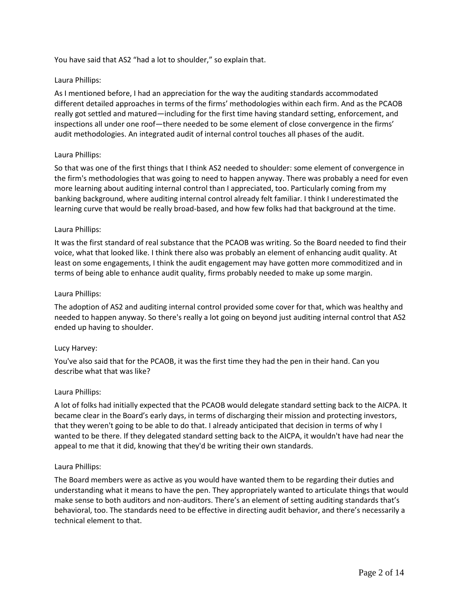You have said that AS2 "had a lot to shoulder," so explain that.

### Laura Phillips:

As I mentioned before, I had an appreciation for the way the auditing standards accommodated different detailed approaches in terms of the firms' methodologies within each firm. And as the PCAOB really got settled and matured—including for the first time having standard setting, enforcement, and inspections all under one roof—there needed to be some element of close convergence in the firms' audit methodologies. An integrated audit of internal control touches all phases of the audit.

### Laura Phillips:

So that was one of the first things that I think AS2 needed to shoulder: some element of convergence in the firm's methodologies that was going to need to happen anyway. There was probably a need for even more learning about auditing internal control than I appreciated, too. Particularly coming from my banking background, where auditing internal control already felt familiar. I think I underestimated the learning curve that would be really broad-based, and how few folks had that background at the time.

### Laura Phillips:

It was the first standard of real substance that the PCAOB was writing. So the Board needed to find their voice, what that looked like. I think there also was probably an element of enhancing audit quality. At least on some engagements, I think the audit engagement may have gotten more commoditized and in terms of being able to enhance audit quality, firms probably needed to make up some margin.

### Laura Phillips:

The adoption of AS2 and auditing internal control provided some cover for that, which was healthy and needed to happen anyway. So there's really a lot going on beyond just auditing internal control that AS2 ended up having to shoulder.

### Lucy Harvey:

You've also said that for the PCAOB, it was the first time they had the pen in their hand. Can you describe what that was like?

### Laura Phillips:

A lot of folks had initially expected that the PCAOB would delegate standard setting back to the AICPA. It became clear in the Board's early days, in terms of discharging their mission and protecting investors, that they weren't going to be able to do that. I already anticipated that decision in terms of why I wanted to be there. If they delegated standard setting back to the AICPA, it wouldn't have had near the appeal to me that it did, knowing that they'd be writing their own standards.

### Laura Phillips:

The Board members were as active as you would have wanted them to be regarding their duties and understanding what it means to have the pen. They appropriately wanted to articulate things that would make sense to both auditors and non-auditors. There's an element of setting auditing standards that's behavioral, too. The standards need to be effective in directing audit behavior, and there's necessarily a technical element to that.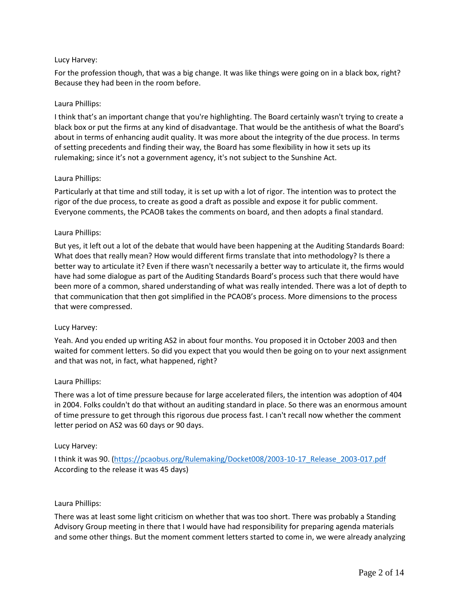## Lucy Harvey:

For the profession though, that was a big change. It was like things were going on in a black box, right? Because they had been in the room before.

## Laura Phillips:

I think that's an important change that you're highlighting. The Board certainly wasn't trying to create a black box or put the firms at any kind of disadvantage. That would be the antithesis of what the Board's about in terms of enhancing audit quality. It was more about the integrity of the due process. In terms of setting precedents and finding their way, the Board has some flexibility in how it sets up its rulemaking; since it's not a government agency, it's not subject to the Sunshine Act.

## Laura Phillips:

Particularly at that time and still today, it is set up with a lot of rigor. The intention was to protect the rigor of the due process, to create as good a draft as possible and expose it for public comment. Everyone comments, the PCAOB takes the comments on board, and then adopts a final standard.

## Laura Phillips:

But yes, it left out a lot of the debate that would have been happening at the Auditing Standards Board: What does that really mean? How would different firms translate that into methodology? Is there a better way to articulate it? Even if there wasn't necessarily a better way to articulate it, the firms would have had some dialogue as part of the Auditing Standards Board's process such that there would have been more of a common, shared understanding of what was really intended. There was a lot of depth to that communication that then got simplified in the PCAOB's process. More dimensions to the process that were compressed.

## Lucy Harvey:

Yeah. And you ended up writing AS2 in about four months. You proposed it in October 2003 and then waited for comment letters. So did you expect that you would then be going on to your next assignment and that was not, in fact, what happened, right?

## Laura Phillips:

There was a lot of time pressure because for large accelerated filers, the intention was adoption of 404 in 2004. Folks couldn't do that without an auditing standard in place. So there was an enormous amount of time pressure to get through this rigorous due process fast. I can't recall now whether the comment letter period on AS2 was 60 days or 90 days.

## Lucy Harvey:

I think it was 90. (https://pcaobus.org/Rulemaking/Docket008/2003-10-17 Release 2003-017.pdf According to the release it was 45 days)

## Laura Phillips:

There was at least some light criticism on whether that was too short. There was probably a Standing Advisory Group meeting in there that I would have had responsibility for preparing agenda materials and some other things. But the moment comment letters started to come in, we were already analyzing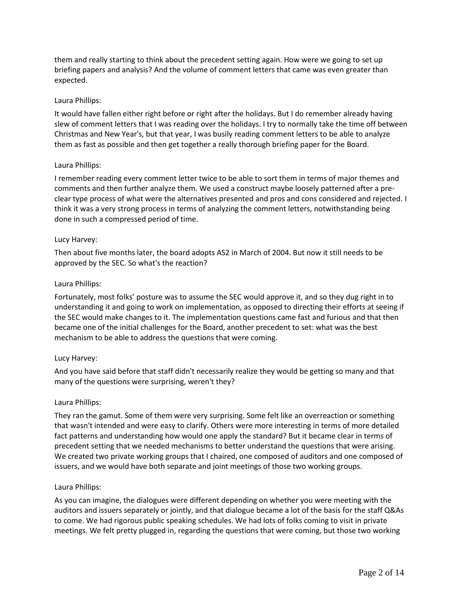them and really starting to think about the precedent setting again. How were we going to set up briefing papers and analysis? And the volume of comment letters that came was even greater than expected.

### Laura Phillips:

It would have fallen either right before or right after the holidays. But I do remember already having slew of comment letters that I was reading over the holidays. I try to normally take the time off between Christmas and New Year's, but that year, I was busily reading comment letters to be able to analyze them as fast as possible and then get together a really thorough briefing paper for the Board.

### Laura Phillips:

I remember reading every comment letter twice to be able to sort them in terms of major themes and comments and then further analyze them. We used a construct maybe loosely patterned after a preclear type process of what were the alternatives presented and pros and cons considered and rejected. I think it was a very strong process in terms of analyzing the comment letters, notwithstanding being done in such a compressed period of time.

### Lucy Harvey:

Then about five months later, the board adopts AS2 in March of 2004. But now it still needs to be approved by the SEC. So what's the reaction?

### Laura Phillips:

Fortunately, most folks' posture was to assume the SEC would approve it, and so they dug right in to understanding it and going to work on implementation, as opposed to directing their efforts at seeing if the SEC would make changes to it. The implementation questions came fast and furious and that then became one of the initial challenges for the Board, another precedent to set: what was the best mechanism to be able to address the questions that were coming.

## Lucy Harvey:

And you have said before that staff didn't necessarily realize they would be getting so many and that many of the questions were surprising, weren't they?

### Laura Phillips:

They ran the gamut. Some of them were very surprising. Some felt like an overreaction or something that wasn't intended and were easy to clarify. Others were more interesting in terms of more detailed fact patterns and understanding how would one apply the standard? But it became clear in terms of precedent setting that we needed mechanisms to better understand the questions that were arising. We created two private working groups that I chaired, one composed of auditors and one composed of issuers, and we would have both separate and joint meetings of those two working groups.

### Laura Phillips:

As you can imagine, the dialogues were different depending on whether you were meeting with the auditors and issuers separately or jointly, and that dialogue became a lot of the basis for the staff Q&As to come. We had rigorous public speaking schedules. We had lots of folks coming to visit in private meetings. We felt pretty plugged in, regarding the questions that were coming, but those two working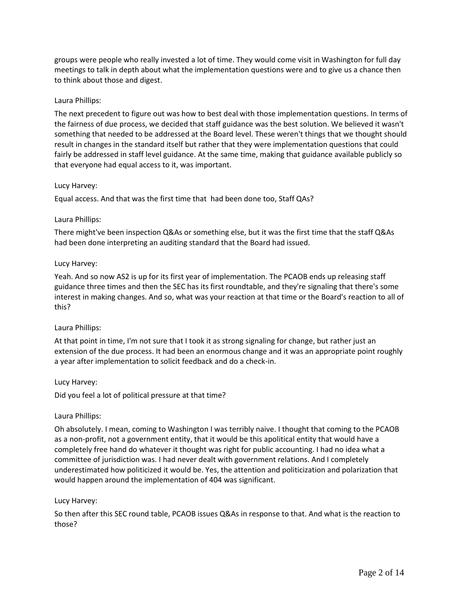groups were people who really invested a lot of time. They would come visit in Washington for full day meetings to talk in depth about what the implementation questions were and to give us a chance then to think about those and digest.

### Laura Phillips:

The next precedent to figure out was how to best deal with those implementation questions. In terms of the fairness of due process, we decided that staff guidance was the best solution. We believed it wasn't something that needed to be addressed at the Board level. These weren't things that we thought should result in changes in the standard itself but rather that they were implementation questions that could fairly be addressed in staff level guidance. At the same time, making that guidance available publicly so that everyone had equal access to it, was important.

### Lucy Harvey:

Equal access. And that was the first time that had been done too, Staff QAs?

### Laura Phillips:

There might've been inspection Q&As or something else, but it was the first time that the staff Q&As had been done interpreting an auditing standard that the Board had issued.

### Lucy Harvey:

Yeah. And so now AS2 is up for its first year of implementation. The PCAOB ends up releasing staff guidance three times and then the SEC has its first roundtable, and they're signaling that there's some interest in making changes. And so, what was your reaction at that time or the Board's reaction to all of this?

## Laura Phillips:

At that point in time, I'm not sure that I took it as strong signaling for change, but rather just an extension of the due process. It had been an enormous change and it was an appropriate point roughly a year after implementation to solicit feedback and do a check-in.

### Lucy Harvey:

Did you feel a lot of political pressure at that time?

## Laura Phillips:

Oh absolutely. I mean, coming to Washington I was terribly naive. I thought that coming to the PCAOB as a non-profit, not a government entity, that it would be this apolitical entity that would have a completely free hand do whatever it thought was right for public accounting. I had no idea what a committee of jurisdiction was. I had never dealt with government relations. And I completely underestimated how politicized it would be. Yes, the attention and politicization and polarization that would happen around the implementation of 404 was significant.

### Lucy Harvey:

So then after this SEC round table, PCAOB issues Q&As in response to that. And what is the reaction to those?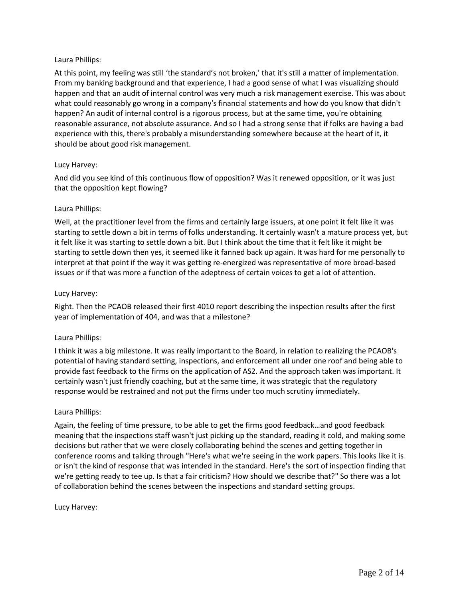## Laura Phillips:

At this point, my feeling was still 'the standard's not broken,' that it's still a matter of implementation. From my banking background and that experience, I had a good sense of what I was visualizing should happen and that an audit of internal control was very much a risk management exercise. This was about what could reasonably go wrong in a company's financial statements and how do you know that didn't happen? An audit of internal control is a rigorous process, but at the same time, you're obtaining reasonable assurance, not absolute assurance. And so I had a strong sense that if folks are having a bad experience with this, there's probably a misunderstanding somewhere because at the heart of it, it should be about good risk management.

## Lucy Harvey:

And did you see kind of this continuous flow of opposition? Was it renewed opposition, or it was just that the opposition kept flowing?

## Laura Phillips:

Well, at the practitioner level from the firms and certainly large issuers, at one point it felt like it was starting to settle down a bit in terms of folks understanding. It certainly wasn't a mature process yet, but it felt like it was starting to settle down a bit. But I think about the time that it felt like it might be starting to settle down then yes, it seemed like it fanned back up again. It was hard for me personally to interpret at that point if the way it was getting re-energized was representative of more broad-based issues or if that was more a function of the adeptness of certain voices to get a lot of attention.

## Lucy Harvey:

Right. Then the PCAOB released their first 4010 report describing the inspection results after the first year of implementation of 404, and was that a milestone?

## Laura Phillips:

I think it was a big milestone. It was really important to the Board, in relation to realizing the PCAOB's potential of having standard setting, inspections, and enforcement all under one roof and being able to provide fast feedback to the firms on the application of AS2. And the approach taken was important. It certainly wasn't just friendly coaching, but at the same time, it was strategic that the regulatory response would be restrained and not put the firms under too much scrutiny immediately.

## Laura Phillips:

Again, the feeling of time pressure, to be able to get the firms good feedback…and good feedback meaning that the inspections staff wasn't just picking up the standard, reading it cold, and making some decisions but rather that we were closely collaborating behind the scenes and getting together in conference rooms and talking through "Here's what we're seeing in the work papers. This looks like it is or isn't the kind of response that was intended in the standard. Here's the sort of inspection finding that we're getting ready to tee up. Is that a fair criticism? How should we describe that?" So there was a lot of collaboration behind the scenes between the inspections and standard setting groups.

## Lucy Harvey: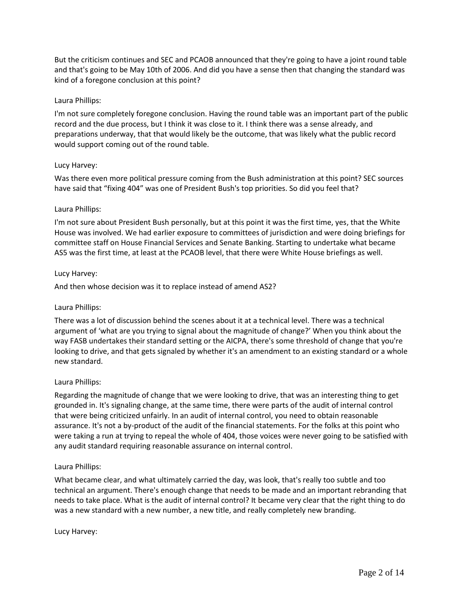But the criticism continues and SEC and PCAOB announced that they're going to have a joint round table and that's going to be May 10th of 2006. And did you have a sense then that changing the standard was kind of a foregone conclusion at this point?

### Laura Phillips:

I'm not sure completely foregone conclusion. Having the round table was an important part of the public record and the due process, but I think it was close to it. I think there was a sense already, and preparations underway, that that would likely be the outcome, that was likely what the public record would support coming out of the round table.

### Lucy Harvey:

Was there even more political pressure coming from the Bush administration at this point? SEC sources have said that "fixing 404" was one of President Bush's top priorities. So did you feel that?

### Laura Phillips:

I'm not sure about President Bush personally, but at this point it was the first time, yes, that the White House was involved. We had earlier exposure to committees of jurisdiction and were doing briefings for committee staff on House Financial Services and Senate Banking. Starting to undertake what became AS5 was the first time, at least at the PCAOB level, that there were White House briefings as well.

### Lucy Harvey:

And then whose decision was it to replace instead of amend AS2?

## Laura Phillips:

There was a lot of discussion behind the scenes about it at a technical level. There was a technical argument of 'what are you trying to signal about the magnitude of change?' When you think about the way FASB undertakes their standard setting or the AICPA, there's some threshold of change that you're looking to drive, and that gets signaled by whether it's an amendment to an existing standard or a whole new standard.

### Laura Phillips:

Regarding the magnitude of change that we were looking to drive, that was an interesting thing to get grounded in. It's signaling change, at the same time, there were parts of the audit of internal control that were being criticized unfairly. In an audit of internal control, you need to obtain reasonable assurance. It's not a by-product of the audit of the financial statements. For the folks at this point who were taking a run at trying to repeal the whole of 404, those voices were never going to be satisfied with any audit standard requiring reasonable assurance on internal control.

### Laura Phillips:

What became clear, and what ultimately carried the day, was look, that's really too subtle and too technical an argument. There's enough change that needs to be made and an important rebranding that needs to take place. What is the audit of internal control? It became very clear that the right thing to do was a new standard with a new number, a new title, and really completely new branding.

### Lucy Harvey: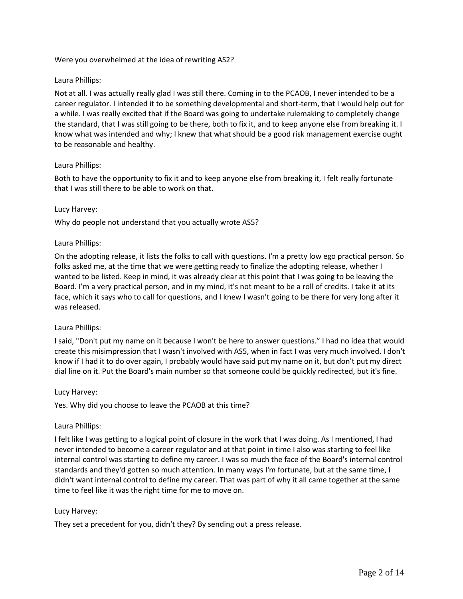### Were you overwhelmed at the idea of rewriting AS2?

### Laura Phillips:

Not at all. I was actually really glad I was still there. Coming in to the PCAOB, I never intended to be a career regulator. I intended it to be something developmental and short-term, that I would help out for a while. I was really excited that if the Board was going to undertake rulemaking to completely change the standard, that I was still going to be there, both to fix it, and to keep anyone else from breaking it. I know what was intended and why; I knew that what should be a good risk management exercise ought to be reasonable and healthy.

### Laura Phillips:

Both to have the opportunity to fix it and to keep anyone else from breaking it, I felt really fortunate that I was still there to be able to work on that.

### Lucy Harvey:

Why do people not understand that you actually wrote AS5?

### Laura Phillips:

On the adopting release, it lists the folks to call with questions. I'm a pretty low ego practical person. So folks asked me, at the time that we were getting ready to finalize the adopting release, whether I wanted to be listed. Keep in mind, it was already clear at this point that I was going to be leaving the Board. I'm a very practical person, and in my mind, it's not meant to be a roll of credits. I take it at its face, which it says who to call for questions, and I knew I wasn't going to be there for very long after it was released.

### Laura Phillips:

I said, "Don't put my name on it because I won't be here to answer questions." I had no idea that would create this misimpression that I wasn't involved with AS5, when in fact I was very much involved. I don't know if I had it to do over again, I probably would have said put my name on it, but don't put my direct dial line on it. Put the Board's main number so that someone could be quickly redirected, but it's fine.

### Lucy Harvey:

Yes. Why did you choose to leave the PCAOB at this time?

### Laura Phillips:

I felt like I was getting to a logical point of closure in the work that I was doing. As I mentioned, I had never intended to become a career regulator and at that point in time I also was starting to feel like internal control was starting to define my career. I was so much the face of the Board's internal control standards and they'd gotten so much attention. In many ways I'm fortunate, but at the same time, I didn't want internal control to define my career. That was part of why it all came together at the same time to feel like it was the right time for me to move on.

### Lucy Harvey:

They set a precedent for you, didn't they? By sending out a press release.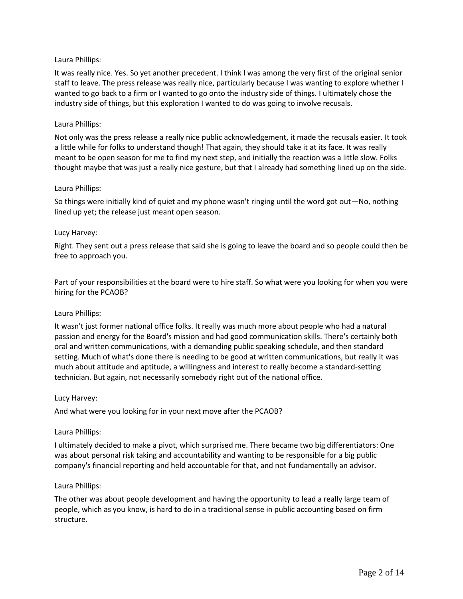## Laura Phillips:

It was really nice. Yes. So yet another precedent. I think I was among the very first of the original senior staff to leave. The press release was really nice, particularly because I was wanting to explore whether I wanted to go back to a firm or I wanted to go onto the industry side of things. I ultimately chose the industry side of things, but this exploration I wanted to do was going to involve recusals.

### Laura Phillips:

Not only was the press release a really nice public acknowledgement, it made the recusals easier. It took a little while for folks to understand though! That again, they should take it at its face. It was really meant to be open season for me to find my next step, and initially the reaction was a little slow. Folks thought maybe that was just a really nice gesture, but that I already had something lined up on the side.

### Laura Phillips:

So things were initially kind of quiet and my phone wasn't ringing until the word got out—No, nothing lined up yet; the release just meant open season.

### Lucy Harvey:

Right. They sent out a press release that said she is going to leave the board and so people could then be free to approach you.

Part of your responsibilities at the board were to hire staff. So what were you looking for when you were hiring for the PCAOB?

### Laura Phillips:

It wasn't just former national office folks. It really was much more about people who had a natural passion and energy for the Board's mission and had good communication skills. There's certainly both oral and written communications, with a demanding public speaking schedule, and then standard setting. Much of what's done there is needing to be good at written communications, but really it was much about attitude and aptitude, a willingness and interest to really become a standard-setting technician. But again, not necessarily somebody right out of the national office.

### Lucy Harvey:

And what were you looking for in your next move after the PCAOB?

### Laura Phillips:

I ultimately decided to make a pivot, which surprised me. There became two big differentiators: One was about personal risk taking and accountability and wanting to be responsible for a big public company's financial reporting and held accountable for that, and not fundamentally an advisor.

### Laura Phillips:

The other was about people development and having the opportunity to lead a really large team of people, which as you know, is hard to do in a traditional sense in public accounting based on firm structure.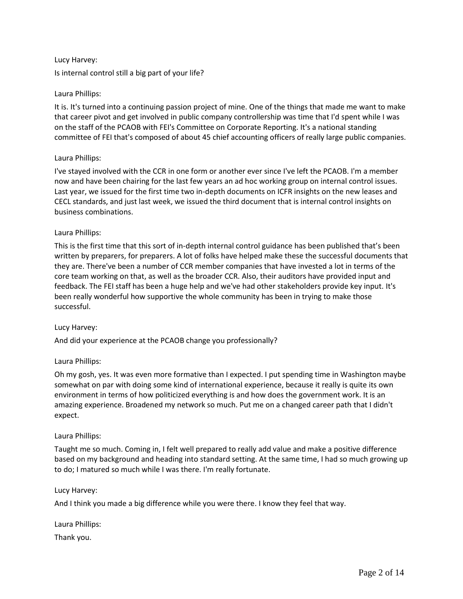## Lucy Harvey:

Is internal control still a big part of your life?

## Laura Phillips:

It is. It's turned into a continuing passion project of mine. One of the things that made me want to make that career pivot and get involved in public company controllership was time that I'd spent while I was on the staff of the PCAOB with FEI's Committee on Corporate Reporting. It's a national standing committee of FEI that's composed of about 45 chief accounting officers of really large public companies.

### Laura Phillips:

I've stayed involved with the CCR in one form or another ever since I've left the PCAOB. I'm a member now and have been chairing for the last few years an ad hoc working group on internal control issues. Last year, we issued for the first time two in-depth documents on ICFR insights on the new leases and CECL standards, and just last week, we issued the third document that is internal control insights on business combinations.

### Laura Phillips:

This is the first time that this sort of in-depth internal control guidance has been published that's been written by preparers, for preparers. A lot of folks have helped make these the successful documents that they are. There've been a number of CCR member companies that have invested a lot in terms of the core team working on that, as well as the broader CCR. Also, their auditors have provided input and feedback. The FEI staff has been a huge help and we've had other stakeholders provide key input. It's been really wonderful how supportive the whole community has been in trying to make those successful.

### Lucy Harvey:

And did your experience at the PCAOB change you professionally?

## Laura Phillips:

Oh my gosh, yes. It was even more formative than I expected. I put spending time in Washington maybe somewhat on par with doing some kind of international experience, because it really is quite its own environment in terms of how politicized everything is and how does the government work. It is an amazing experience. Broadened my network so much. Put me on a changed career path that I didn't expect.

### Laura Phillips:

Taught me so much. Coming in, I felt well prepared to really add value and make a positive difference based on my background and heading into standard setting. At the same time, I had so much growing up to do; I matured so much while I was there. I'm really fortunate.

### Lucy Harvey:

And I think you made a big difference while you were there. I know they feel that way.

Laura Phillips: Thank you.